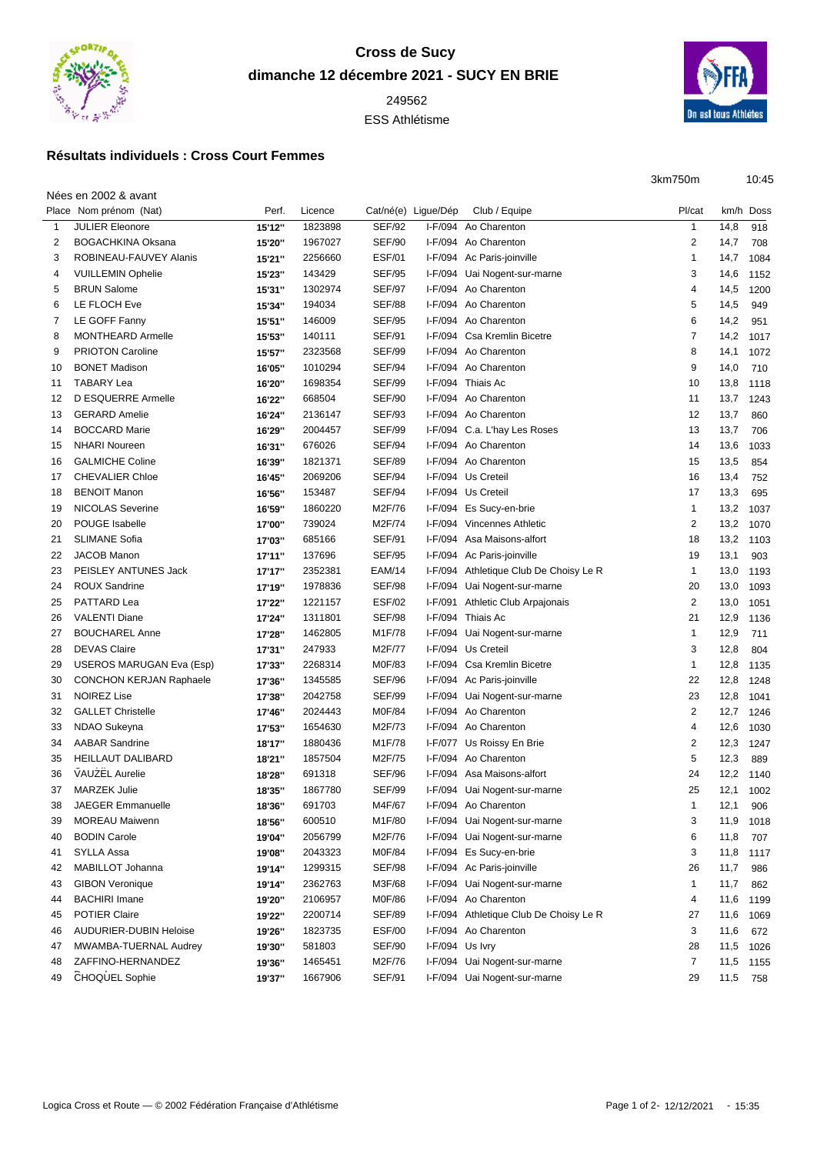

## **Cross de Sucy dimanche 12 décembre 2021 - SUCY EN BRIE**

ESS Athlétisme

## **Résultats individuels : Cross Court Femmes**

Nées en 2002 & avant



| 3km750m | 10:45 |
|---------|-------|
|         |       |

|    | Place Nom prénom (Nat)         | Perf.  | Licence | Cat/né(e) Ligue/Dép |                 | Club / Equipe                          | Pl/cat         |           | km/h Doss |
|----|--------------------------------|--------|---------|---------------------|-----------------|----------------------------------------|----------------|-----------|-----------|
| 1  | <b>JULIER Eleonore</b>         | 15'12" | 1823898 | <b>SEF/92</b>       |                 | I-F/094 Ao Charenton                   | $\mathbf{1}$   | 14,8      | 918       |
| 2  | <b>BOGACHKINA Oksana</b>       | 15'20" | 1967027 | <b>SEF/90</b>       |                 | I-F/094 Ao Charenton                   | 2              | 14,7      | 708       |
| 3  | ROBINEAU-FAUVEY Alanis         | 15'21" | 2256660 | <b>ESF/01</b>       |                 | I-F/094 Ac Paris-joinville             | 1              | 14,7      | 1084      |
| 4  | <b>VUILLEMIN Ophelie</b>       | 15'23" | 143429  | <b>SEF/95</b>       |                 | I-F/094 Uai Nogent-sur-marne           | 3              | 14,6      | 1152      |
| 5  | <b>BRUN Salome</b>             | 15'31" | 1302974 | <b>SEF/97</b>       |                 | I-F/094 Ao Charenton                   | 4              | 14,5      | 1200      |
| 6  | LE FLOCH Eve                   | 15'34" | 194034  | <b>SEF/88</b>       |                 | I-F/094 Ao Charenton                   | 5              | 14,5      | 949       |
| 7  | LE GOFF Fanny                  | 15'51" | 146009  | <b>SEF/95</b>       |                 | I-F/094 Ao Charenton                   | 6              | 14,2      | 951       |
| 8  | MONTHEARD Armelle              | 15'53" | 140111  | <b>SEF/91</b>       |                 | I-F/094 Csa Kremlin Bicetre            | 7              | 14,2      | 1017      |
| 9  | <b>PRIOTON Caroline</b>        | 15'57" | 2323568 | <b>SEF/99</b>       |                 | I-F/094 Ao Charenton                   | 8              | 14,1      | 1072      |
| 10 | <b>BONET Madison</b>           | 16'05" | 1010294 | <b>SEF/94</b>       |                 | I-F/094 Ao Charenton                   | 9              | 14,0      | 710       |
| 11 | <b>TABARY Lea</b>              | 16'20" | 1698354 | <b>SEF/99</b>       |                 | I-F/094 Thiais Ac                      | 10             | 13,8      | 1118      |
| 12 | D ESQUERRE Armelle             | 16'22" | 668504  | <b>SEF/90</b>       |                 | I-F/094 Ao Charenton                   | 11             | 13,7      | 1243      |
| 13 | <b>GERARD Amelie</b>           | 16'24" | 2136147 | <b>SEF/93</b>       |                 | I-F/094 Ao Charenton                   | 12             | 13,7      | 860       |
| 14 | <b>BOCCARD Marie</b>           | 16'29" | 2004457 | <b>SEF/99</b>       |                 | I-F/094 C.a. L'hay Les Roses           | 13             | 13,7      | 706       |
| 15 | <b>NHARI Noureen</b>           | 16'31" | 676026  | <b>SEF/94</b>       |                 | I-F/094 Ao Charenton                   | 14             | 13,6      | 1033      |
| 16 | <b>GALMICHE Coline</b>         | 16'39" | 1821371 | <b>SEF/89</b>       |                 | I-F/094 Ao Charenton                   | 15             | 13,5      | 854       |
| 17 | <b>CHEVALIER Chloe</b>         | 16'45" | 2069206 | <b>SEF/94</b>       |                 | I-F/094 Us Creteil                     | 16             | 13,4      | 752       |
| 18 | <b>BENOIT Manon</b>            | 16'56" | 153487  | <b>SEF/94</b>       |                 | I-F/094 Us Creteil                     | 17             | 13,3      | 695       |
| 19 | <b>NICOLAS Severine</b>        | 16'59" | 1860220 | M2F/76              |                 | I-F/094 Es Sucy-en-brie                | $\mathbf{1}$   | 13,2      | 1037      |
| 20 | POUGE Isabelle                 | 17'00" | 739024  | M2F/74              |                 | I-F/094 Vincennes Athletic             | 2              | 13,2 1070 |           |
| 21 | <b>SLIMANE Sofia</b>           | 17'03" | 685166  | <b>SEF/91</b>       |                 | I-F/094 Asa Maisons-alfort             | 18             | 13,2      | 1103      |
| 22 | <b>JACOB Manon</b>             | 17'11" | 137696  | <b>SEF/95</b>       |                 | I-F/094 Ac Paris-joinville             | 19             | 13,1      | 903       |
| 23 | PEISLEY ANTUNES Jack           | 17'17" | 2352381 | <b>EAM/14</b>       |                 | I-F/094 Athletique Club De Choisy Le R | $\mathbf{1}$   | 13,0      | 1193      |
| 24 | <b>ROUX Sandrine</b>           | 17'19" | 1978836 | <b>SEF/98</b>       |                 | I-F/094 Uai Nogent-sur-marne           | 20             | 13,0      | 1093      |
| 25 | PATTARD Lea                    | 17'22" | 1221157 | <b>ESF/02</b>       |                 | I-F/091 Athletic Club Arpajonais       | $\overline{2}$ | 13,0      | 1051      |
| 26 | <b>VALENTI Diane</b>           | 17'24" | 1311801 | <b>SEF/98</b>       |                 | I-F/094 Thiais Ac                      | 21             | 12,9      | 1136      |
| 27 | <b>BOUCHAREL Anne</b>          | 17'28" | 1462805 | M1F/78              |                 | I-F/094 Uai Nogent-sur-marne           | 1              | 12,9      | 711       |
| 28 | <b>DEVAS Claire</b>            | 17'31" | 247933  | M2F/77              |                 | I-F/094 Us Creteil                     | 3              | 12,8      | 804       |
| 29 | USEROS MARUGAN Eva (Esp)       | 17'33" | 2268314 | M0F/83              |                 | I-F/094 Csa Kremlin Bicetre            | 1              | 12,8      | 1135      |
| 30 | <b>CONCHON KERJAN Raphaele</b> | 17'36" | 1345585 | <b>SEF/96</b>       |                 | I-F/094 Ac Paris-joinville             | 22             | 12,8      | 1248      |
| 31 | <b>NOIREZ Lise</b>             | 17'38" | 2042758 | <b>SEF/99</b>       |                 | I-F/094 Uai Nogent-sur-marne           | 23             | 12,8      | 1041      |
| 32 | <b>GALLET Christelle</b>       | 17'46" | 2024443 | M0F/84              |                 | I-F/094 Ao Charenton                   | 2              | 12,7      | 1246      |
| 33 | NDAO Sukeyna                   | 17'53" | 1654630 | M2F/73              |                 | I-F/094 Ao Charenton                   | 4              | 12,6      | 1030      |
| 34 | <b>AABAR Sandrine</b>          | 18'17" | 1880436 | M1F/78              |                 | I-F/077 Us Roissy En Brie              | 2              | 12,3      | 1247      |
| 35 | <b>HEILLAUT DALIBARD</b>       | 18'21" | 1857504 | M2F/75              |                 | I-F/094 Ao Charenton                   | 5              | 12,3      | 889       |
| 36 | VAUZEL Aurelie                 | 18'28" | 691318  | <b>SEF/96</b>       |                 | I-F/094 Asa Maisons-alfort             | 24             | 12,2      | 1140      |
| 37 | <b>MARZEK Julie</b>            | 18'35" | 1867780 | <b>SEF/99</b>       |                 | I-F/094 Uai Nogent-sur-marne           | 25             | 12,1      | 1002      |
| 38 | <b>JAEGER Emmanuelle</b>       | 18'36" | 691703  | M4F/67              |                 | I-F/094 Ao Charenton                   | $\mathbf{1}$   | 12,1      | 906       |
| 39 | <b>MOREAU Maiwenn</b>          | 18'56" | 600510  | M1F/80              |                 | I-F/094 Uai Nogent-sur-marne           | 3              | 11,9      | 1018      |
| 40 | <b>BODIN Carole</b>            | 19'04" | 2056799 | M2F/76              |                 | I-F/094 Uai Nogent-sur-marne           | 6              | 11,8      | 707       |
| 41 | SYLLA Assa                     | 19'08" | 2043323 | M0F/84              |                 | I-F/094 Es Sucy-en-brie                | 3              | 11,8      | 1117      |
| 42 | MABILLOT Johanna               | 19'14" | 1299315 | <b>SEF/98</b>       |                 | I-F/094 Ac Paris-joinville             | 26             | 11,7      | 986       |
| 43 | <b>GIBON Veronique</b>         | 19'14" | 2362763 | M3F/68              |                 | I-F/094 Uai Nogent-sur-marne           | 1              | 11,7      | 862       |
| 44 | <b>BACHIRI Imane</b>           | 19'20" | 2106957 | M0F/86              |                 | I-F/094 Ao Charenton                   | 4              | 11,6      | 1199      |
| 45 | POTIER Claire                  | 19'22" | 2200714 | <b>SEF/89</b>       |                 | I-F/094 Athletique Club De Choisy Le R | 27             | 11,6      |           |
|    | <b>AUDURIER-DUBIN Heloise</b>  |        | 1823735 | <b>ESF/00</b>       |                 | I-F/094 Ao Charenton                   | 3              | 11,6      | 1069      |
| 46 | MWAMBA-TUERNAL Audrey          | 19'26" |         | <b>SEF/90</b>       | I-F/094 Us Ivry |                                        |                |           | 672       |
| 47 |                                | 19'30" | 581803  |                     |                 |                                        | 28             | 11,5      | 1026      |
| 48 | ZAFFINO-HERNANDEZ              | 19'36" | 1465451 | M2F/76              |                 | I-F/094 Uai Nogent-sur-marne           | $\overline{7}$ | 11,5      | 1155      |
| 49 | CHOQUEL Sophie                 | 19'37" | 1667906 | <b>SEF/91</b>       |                 | I-F/094 Uai Nogent-sur-marne           | 29             | 11,5      | 758       |